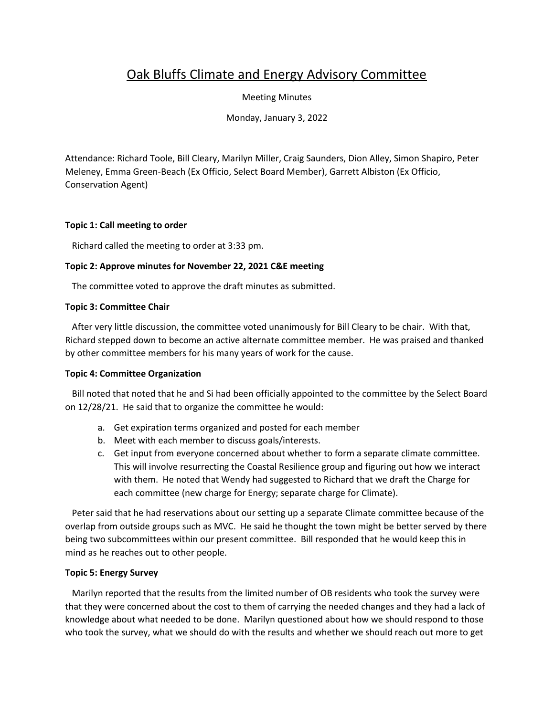# Oak Bluffs Climate and Energy Advisory Committee

Meeting Minutes

Monday, January 3, 2022

Attendance: Richard Toole, Bill Cleary, Marilyn Miller, Craig Saunders, Dion Alley, Simon Shapiro, Peter Meleney, Emma Green-Beach (Ex Officio, Select Board Member), Garrett Albiston (Ex Officio, Conservation Agent)

## **Topic 1: Call meeting to order**

Richard called the meeting to order at 3:33 pm.

## **Topic 2: Approve minutes for November 22, 2021 C&E meeting**

The committee voted to approve the draft minutes as submitted.

#### **Topic 3: Committee Chair**

 After very little discussion, the committee voted unanimously for Bill Cleary to be chair. With that, Richard stepped down to become an active alternate committee member. He was praised and thanked by other committee members for his many years of work for the cause.

## **Topic 4: Committee Organization**

 Bill noted that noted that he and Si had been officially appointed to the committee by the Select Board on 12/28/21. He said that to organize the committee he would:

- a. Get expiration terms organized and posted for each member
- b. Meet with each member to discuss goals/interests.
- c. Get input from everyone concerned about whether to form a separate climate committee. This will involve resurrecting the Coastal Resilience group and figuring out how we interact with them. He noted that Wendy had suggested to Richard that we draft the Charge for each committee (new charge for Energy; separate charge for Climate).

 Peter said that he had reservations about our setting up a separate Climate committee because of the overlap from outside groups such as MVC. He said he thought the town might be better served by there being two subcommittees within our present committee. Bill responded that he would keep this in mind as he reaches out to other people.

## **Topic 5: Energy Survey**

 Marilyn reported that the results from the limited number of OB residents who took the survey were that they were concerned about the cost to them of carrying the needed changes and they had a lack of knowledge about what needed to be done. Marilyn questioned about how we should respond to those who took the survey, what we should do with the results and whether we should reach out more to get